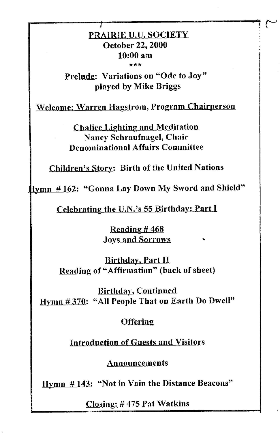## PRAIRIE U.U, SOCIETY **October 22, 2000 10:00 am**  \*\*\*

 $\sim$ 

*I* 

**finde:** Variations on "Ode to Joy" **played by Mike Briggs** 

Welcome: Warren Hagstrom, Program Chairperson

Chalice Lighting and Meditation **Nancy Schraufnagcl, Chair Denominational Affairs Committee** 

Children's Story: Birth of the United Nations

fymn # 162: "Gonna Lay Down My Sword and Shield"

Celebrating the U.N.'s 55 Birthday: Part <sup>I</sup>

Reading  $#468$ Joys and Sorrows ...

Birthday, Part H Reading of "Affirmation" (back of sheet)

Birthday, Continued Hymn# 370: "All People That on Earth Do Dwell"

## **Offering**

Introduction of Guests and Visitors

Announcements

Hymn # 143: "Not in Vain the Distance Beacons"

Closing:# 475 Pat Watkins